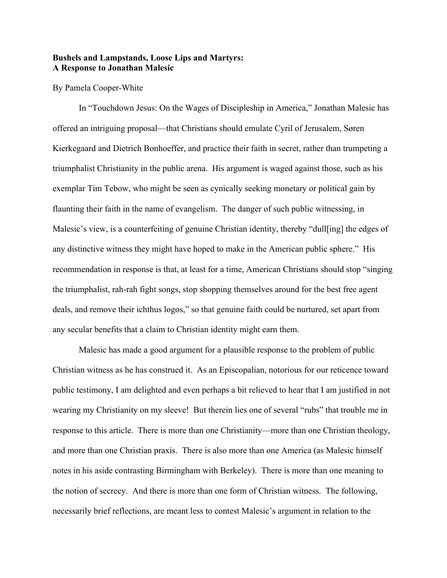## **Bushels and Lampstands, Loose Lips and Martyrs: A Response to Jonathan Malesic**

## By Pamela Cooper-White

In "Touchdown Jesus: On the Wages of Discipleship in America," Jonathan Malesic has offered an intriguing proposal—that Christians should emulate Cyril of Jerusalem, Søren Kierkegaard and Dietrich Bonhoeffer, and practice their faith in secret, rather than trumpeting a triumphalist Christianity in the public arena. His argument is waged against those, such as his exemplar Tim Tebow, who might be seen as cynically seeking monetary or political gain by flaunting their faith in the name of evangelism. The danger of such public witnessing, in Malesic's view, is a counterfeiting of genuine Christian identity, thereby "dull[ing] the edges of any distinctive witness they might have hoped to make in the American public sphere." His recommendation in response is that, at least for a time, American Christians should stop "singing the triumphalist, rah-rah fight songs, stop shopping themselves around for the best free agent deals, and remove their ichthus logos," so that genuine faith could be nurtured, set apart from any secular benefits that a claim to Christian identity might earn them.

Malesic has made a good argument for a plausible response to the problem of public Christian witness as he has construed it. As an Episcopalian, notorious for our reticence toward public testimony, I am delighted and even perhaps a bit relieved to hear that I am justified in not wearing my Christianity on my sleeve! But therein lies one of several "rubs" that trouble me in response to this article. There is more than one Christianity—more than one Christian theology, and more than one Christian praxis. There is also more than one America (as Malesic himself notes in his aside contrasting Birmingham with Berkeley). There is more than one meaning to the notion of secrecy. And there is more than one form of Christian witness. The following, necessarily brief reflections, are meant less to contest Malesic's argument in relation to the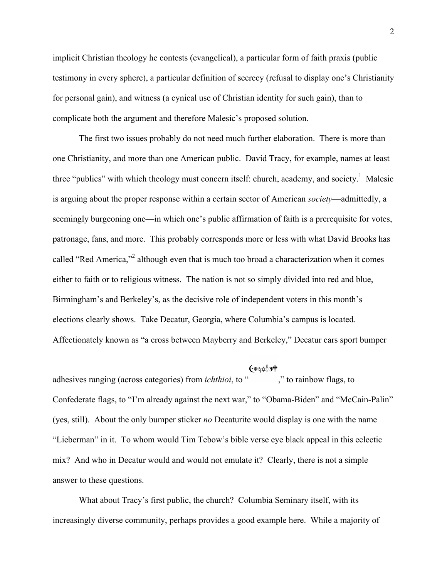implicit Christian theology he contests (evangelical), a particular form of faith praxis (public testimony in every sphere), a particular definition of secrecy (refusal to display one's Christianity for personal gain), and witness (a cynical use of Christian identity for such gain), than to complicate both the argument and therefore Malesic's proposed solution.

The first two issues probably do not need much further elaboration. There is more than one Christianity, and more than one American public. David Tracy, for example, names at least three "publics" with which theology must concern itself: church, academy, and society.<sup>1</sup> Malesic is arguing about the proper response within a certain sector of American *society*—admittedly, a seemingly burgeoning one—in which one's public affirmation of faith is a prerequisite for votes, patronage, fans, and more. This probably corresponds more or less with what David Brooks has called "Red America,"<sup>2</sup> although even that is much too broad a characterization when it comes either to faith or to religious witness. The nation is not so simply divided into red and blue, Birmingham's and Berkeley's, as the decisive role of independent voters in this month's elections clearly shows. Take Decatur, Georgia, where Columbia's campus is located. Affectionately known as "a cross between Mayberry and Berkeley," Decatur cars sport bumper

## **৻**৻৻ড়৻৳ড়৸

adhesives ranging (across categories) from *ichthioi*, to " ," to rainbow flags, to Confederate flags, to "I'm already against the next war," to "Obama-Biden" and "McCain-Palin" (yes, still). About the only bumper sticker *no* Decaturite would display is one with the name "Lieberman" in it. To whom would Tim Tebow's bible verse eye black appeal in this eclectic mix? And who in Decatur would and would not emulate it? Clearly, there is not a simple answer to these questions.

What about Tracy's first public, the church? Columbia Seminary itself, with its increasingly diverse community, perhaps provides a good example here. While a majority of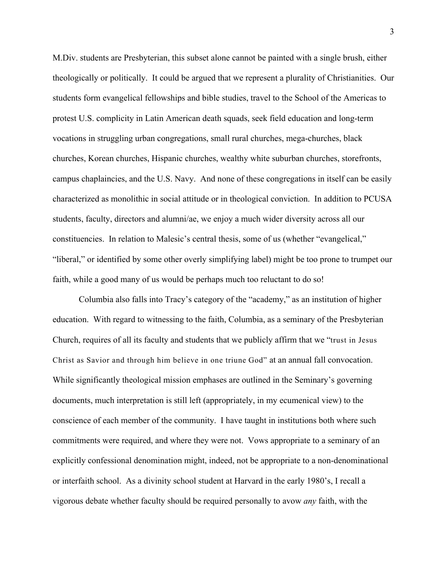M.Div. students are Presbyterian, this subset alone cannot be painted with a single brush, either theologically or politically. It could be argued that we represent a plurality of Christianities. Our students form evangelical fellowships and bible studies, travel to the School of the Americas to protest U.S. complicity in Latin American death squads, seek field education and long-term vocations in struggling urban congregations, small rural churches, mega-churches, black churches, Korean churches, Hispanic churches, wealthy white suburban churches, storefronts, campus chaplaincies, and the U.S. Navy. And none of these congregations in itself can be easily characterized as monolithic in social attitude or in theological conviction. In addition to PCUSA students, faculty, directors and alumni/ae, we enjoy a much wider diversity across all our constituencies. In relation to Malesic's central thesis, some of us (whether "evangelical," "liberal," or identified by some other overly simplifying label) might be too prone to trumpet our faith, while a good many of us would be perhaps much too reluctant to do so!

Columbia also falls into Tracy's category of the "academy," as an institution of higher education. With regard to witnessing to the faith, Columbia, as a seminary of the Presbyterian Church, requires of all its faculty and students that we publicly affirm that we "trust in Jesus Christ as Savior and through him believe in one triune God" at an annual fall convocation. While significantly theological mission emphases are outlined in the Seminary's governing documents, much interpretation is still left (appropriately, in my ecumenical view) to the conscience of each member of the community. I have taught in institutions both where such commitments were required, and where they were not. Vows appropriate to a seminary of an explicitly confessional denomination might, indeed, not be appropriate to a non-denominational or interfaith school. As a divinity school student at Harvard in the early 1980's, I recall a vigorous debate whether faculty should be required personally to avow *any* faith, with the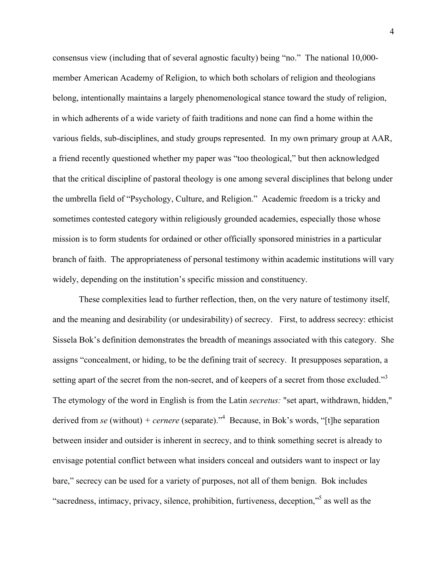consensus view (including that of several agnostic faculty) being "no." The national 10,000 member American Academy of Religion, to which both scholars of religion and theologians belong, intentionally maintains a largely phenomenological stance toward the study of religion, in which adherents of a wide variety of faith traditions and none can find a home within the various fields, sub-disciplines, and study groups represented. In my own primary group at AAR, a friend recently questioned whether my paper was "too theological," but then acknowledged that the critical discipline of pastoral theology is one among several disciplines that belong under the umbrella field of "Psychology, Culture, and Religion." Academic freedom is a tricky and sometimes contested category within religiously grounded academies, especially those whose mission is to form students for ordained or other officially sponsored ministries in a particular branch of faith. The appropriateness of personal testimony within academic institutions will vary widely, depending on the institution's specific mission and constituency.

These complexities lead to further reflection, then, on the very nature of testimony itself, and the meaning and desirability (or undesirability) of secrecy. First, to address secrecy: ethicist Sissela Bok's definition demonstrates the breadth of meanings associated with this category. She assigns "concealment, or hiding, to be the defining trait of secrecy. It presupposes separation, a setting apart of the secret from the non-secret, and of keepers of a secret from those excluded."<sup>3</sup> The etymology of the word in English is from the Latin *secretus:* "set apart, withdrawn, hidden," derived from *se* (without) *+ cernere* (separate)."4 Because, in Bok's words, "[t]he separation between insider and outsider is inherent in secrecy, and to think something secret is already to envisage potential conflict between what insiders conceal and outsiders want to inspect or lay bare," secrecy can be used for a variety of purposes, not all of them benign. Bok includes "sacredness, intimacy, privacy, silence, prohibition, furtiveness, deception,"<sup>5</sup> as well as the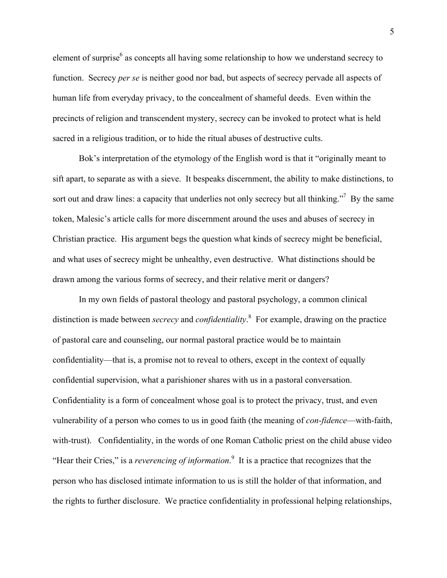element of surprise $<sup>6</sup>$  as concepts all having some relationship to how we understand secrecy to</sup> function. Secrecy *per se* is neither good nor bad, but aspects of secrecy pervade all aspects of human life from everyday privacy, to the concealment of shameful deeds. Even within the precincts of religion and transcendent mystery, secrecy can be invoked to protect what is held sacred in a religious tradition, or to hide the ritual abuses of destructive cults.

Bok's interpretation of the etymology of the English word is that it "originally meant to sift apart, to separate as with a sieve. It bespeaks discernment, the ability to make distinctions, to sort out and draw lines: a capacity that underlies not only secrecy but all thinking."<sup>7</sup> By the same token, Malesic's article calls for more discernment around the uses and abuses of secrecy in Christian practice. His argument begs the question what kinds of secrecy might be beneficial, and what uses of secrecy might be unhealthy, even destructive. What distinctions should be drawn among the various forms of secrecy, and their relative merit or dangers?

In my own fields of pastoral theology and pastoral psychology, a common clinical distinction is made between *secrecy* and *confidentiality*. 8 For example, drawing on the practice of pastoral care and counseling, our normal pastoral practice would be to maintain confidentiality—that is, a promise not to reveal to others, except in the context of equally confidential supervision, what a parishioner shares with us in a pastoral conversation. Confidentiality is a form of concealment whose goal is to protect the privacy, trust, and even vulnerability of a person who comes to us in good faith (the meaning of *con-fidence*—with-faith, with-trust). Confidentiality, in the words of one Roman Catholic priest on the child abuse video "Hear their Cries," is a *reverencing of information*. 9 It is a practice that recognizes that the person who has disclosed intimate information to us is still the holder of that information, and the rights to further disclosure. We practice confidentiality in professional helping relationships,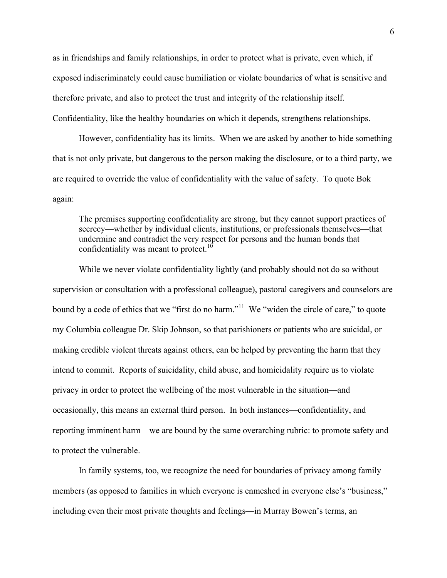as in friendships and family relationships, in order to protect what is private, even which, if exposed indiscriminately could cause humiliation or violate boundaries of what is sensitive and therefore private, and also to protect the trust and integrity of the relationship itself. Confidentiality, like the healthy boundaries on which it depends, strengthens relationships.

However, confidentiality has its limits. When we are asked by another to hide something that is not only private, but dangerous to the person making the disclosure, or to a third party, we are required to override the value of confidentiality with the value of safety. To quote Bok again:

The premises supporting confidentiality are strong, but they cannot support practices of secrecy—whether by individual clients, institutions, or professionals themselves—that undermine and contradict the very respect for persons and the human bonds that confidentiality was meant to protect.<sup>10</sup>

While we never violate confidentiality lightly (and probably should not do so without supervision or consultation with a professional colleague), pastoral caregivers and counselors are bound by a code of ethics that we "first do no harm."<sup>11</sup> We "widen the circle of care," to quote my Columbia colleague Dr. Skip Johnson, so that parishioners or patients who are suicidal, or making credible violent threats against others, can be helped by preventing the harm that they intend to commit. Reports of suicidality, child abuse, and homicidality require us to violate privacy in order to protect the wellbeing of the most vulnerable in the situation—and occasionally, this means an external third person. In both instances—confidentiality, and reporting imminent harm—we are bound by the same overarching rubric: to promote safety and to protect the vulnerable.

In family systems, too, we recognize the need for boundaries of privacy among family members (as opposed to families in which everyone is enmeshed in everyone else's "business," including even their most private thoughts and feelings—in Murray Bowen's terms, an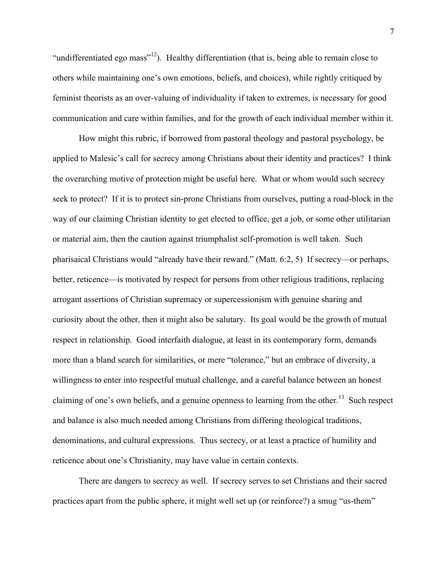"undifferentiated ego mass"<sup>12</sup>). Healthy differentiation (that is, being able to remain close to others while maintaining one's own emotions, beliefs, and choices), while rightly critiqued by feminist theorists as an over-valuing of individuality if taken to extremes, is necessary for good communication and care within families, and for the growth of each individual member within it.

How might this rubric, if borrowed from pastoral theology and pastoral psychology, be applied to Malesic's call for secrecy among Christians about their identity and practices? I think the overarching motive of protection might be useful here. What or whom would such secrecy seek to protect? If it is to protect sin-prone Christians from ourselves, putting a road-block in the way of our claiming Christian identity to get elected to office, get a job, or some other utilitarian or material aim, then the caution against triumphalist self-promotion is well taken. Such pharisaical Christians would "already have their reward." (Matt. 6:2, 5) If secrecy—or perhaps, better, reticence—is motivated by respect for persons from other religious traditions, replacing arrogant assertions of Christian supremacy or supercessionism with genuine sharing and curiosity about the other, then it might also be salutary. Its goal would be the growth of mutual respect in relationship. Good interfaith dialogue, at least in its contemporary form, demands more than a bland search for similarities, or mere "tolerance," but an embrace of diversity, a willingness to enter into respectful mutual challenge, and a careful balance between an honest claiming of one's own beliefs, and a genuine openness to learning from the other.<sup>13</sup> Such respect and balance is also much needed among Christians from differing theological traditions, denominations, and cultural expressions. Thus secrecy, or at least a practice of humility and reticence about one's Christianity, may have value in certain contexts.

There are dangers to secrecy as well. If secrecy serves to set Christians and their sacred practices apart from the public sphere, it might well set up (or reinforce?) a smug "us-them"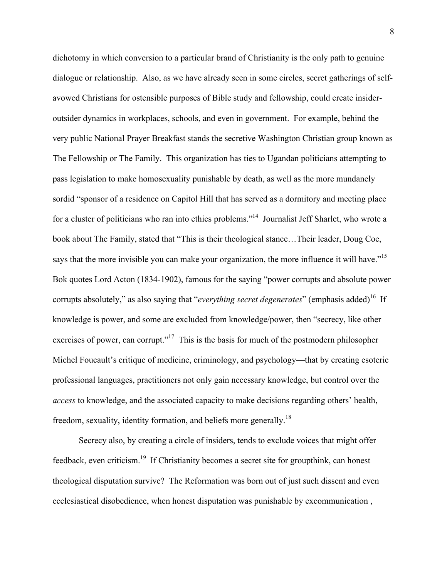dichotomy in which conversion to a particular brand of Christianity is the only path to genuine dialogue or relationship. Also, as we have already seen in some circles, secret gatherings of selfavowed Christians for ostensible purposes of Bible study and fellowship, could create insideroutsider dynamics in workplaces, schools, and even in government. For example, behind the very public National Prayer Breakfast stands the secretive Washington Christian group known as The Fellowship or The Family. This organization has ties to Ugandan politicians attempting to pass legislation to make homosexuality punishable by death, as well as the more mundanely sordid "sponsor of a residence on Capitol Hill that has served as a dormitory and meeting place for a cluster of politicians who ran into ethics problems."<sup>14</sup> Journalist Jeff Sharlet, who wrote a book about The Family, stated that "This is their theological stance…Their leader, Doug Coe, says that the more invisible you can make your organization, the more influence it will have."<sup>15</sup> Bok quotes Lord Acton (1834-1902), famous for the saying "power corrupts and absolute power corrupts absolutely," as also saying that "*everything secret degenerates*" (emphasis added)<sup>16</sup> If knowledge is power, and some are excluded from knowledge/power, then "secrecy, like other exercises of power, can corrupt."<sup>17</sup> This is the basis for much of the postmodern philosopher Michel Foucault's critique of medicine, criminology, and psychology—that by creating esoteric professional languages, practitioners not only gain necessary knowledge, but control over the *access* to knowledge, and the associated capacity to make decisions regarding others' health, freedom, sexuality, identity formation, and beliefs more generally.<sup>18</sup>

Secrecy also, by creating a circle of insiders, tends to exclude voices that might offer feedback, even criticism.<sup>19</sup> If Christianity becomes a secret site for groupthink, can honest theological disputation survive? The Reformation was born out of just such dissent and even ecclesiastical disobedience, when honest disputation was punishable by excommunication ,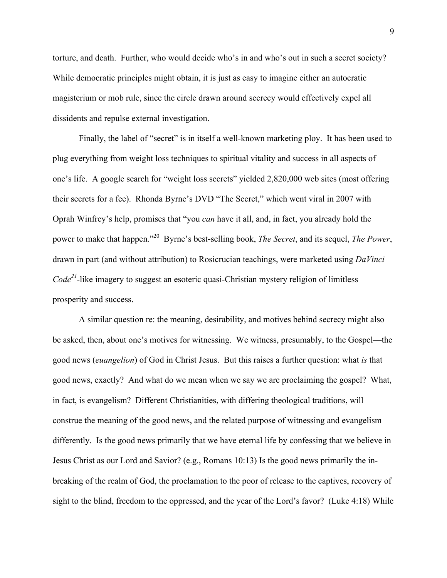torture, and death. Further, who would decide who's in and who's out in such a secret society? While democratic principles might obtain, it is just as easy to imagine either an autocratic magisterium or mob rule, since the circle drawn around secrecy would effectively expel all dissidents and repulse external investigation.

Finally, the label of "secret" is in itself a well-known marketing ploy. It has been used to plug everything from weight loss techniques to spiritual vitality and success in all aspects of one's life. A google search for "weight loss secrets" yielded 2,820,000 web sites (most offering their secrets for a fee). Rhonda Byrne's DVD "The Secret," which went viral in 2007 with Oprah Winfrey's help, promises that "you *can* have it all, and, in fact, you already hold the power to make that happen."20 Byrne's best-selling book, *The Secret*, and its sequel, *The Power*, drawn in part (and without attribution) to Rosicrucian teachings, were marketed using *DaVinci Code<sup>21</sup>*-like imagery to suggest an esoteric quasi-Christian mystery religion of limitless prosperity and success.

A similar question re: the meaning, desirability, and motives behind secrecy might also be asked, then, about one's motives for witnessing. We witness, presumably, to the Gospel—the good news (*euangelion*) of God in Christ Jesus. But this raises a further question: what *is* that good news, exactly? And what do we mean when we say we are proclaiming the gospel? What, in fact, is evangelism? Different Christianities, with differing theological traditions, will construe the meaning of the good news, and the related purpose of witnessing and evangelism differently. Is the good news primarily that we have eternal life by confessing that we believe in Jesus Christ as our Lord and Savior? (e.g., Romans 10:13) Is the good news primarily the inbreaking of the realm of God, the proclamation to the poor of release to the captives, recovery of sight to the blind, freedom to the oppressed, and the year of the Lord's favor? (Luke 4:18) While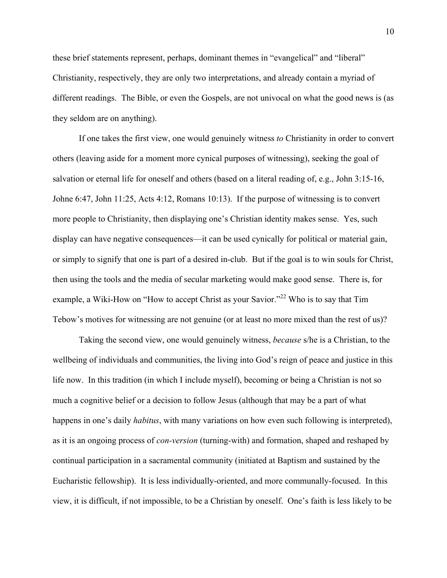these brief statements represent, perhaps, dominant themes in "evangelical" and "liberal" Christianity, respectively, they are only two interpretations, and already contain a myriad of different readings. The Bible, or even the Gospels, are not univocal on what the good news is (as they seldom are on anything).

If one takes the first view, one would genuinely witness *to* Christianity in order to convert others (leaving aside for a moment more cynical purposes of witnessing), seeking the goal of salvation or eternal life for oneself and others (based on a literal reading of, e.g., John 3:15-16, Johne 6:47, John 11:25, Acts 4:12, Romans 10:13). If the purpose of witnessing is to convert more people to Christianity, then displaying one's Christian identity makes sense. Yes, such display can have negative consequences—it can be used cynically for political or material gain, or simply to signify that one is part of a desired in-club. But if the goal is to win souls for Christ, then using the tools and the media of secular marketing would make good sense. There is, for example, a Wiki-How on "How to accept Christ as your Savior."<sup>22</sup> Who is to say that Tim Tebow's motives for witnessing are not genuine (or at least no more mixed than the rest of us)?

Taking the second view, one would genuinely witness, *because* s/he is a Christian, to the wellbeing of individuals and communities, the living into God's reign of peace and justice in this life now. In this tradition (in which I include myself), becoming or being a Christian is not so much a cognitive belief or a decision to follow Jesus (although that may be a part of what happens in one's daily *habitus*, with many variations on how even such following is interpreted), as it is an ongoing process of *con-version* (turning-with) and formation, shaped and reshaped by continual participation in a sacramental community (initiated at Baptism and sustained by the Eucharistic fellowship). It is less individually-oriented, and more communally-focused. In this view, it is difficult, if not impossible, to be a Christian by oneself. One's faith is less likely to be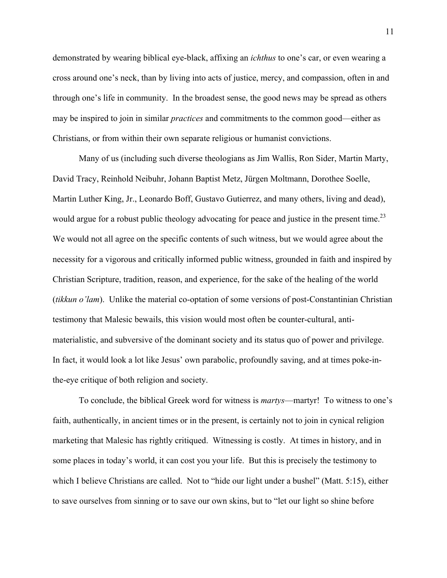demonstrated by wearing biblical eye-black, affixing an *ichthus* to one's car, or even wearing a cross around one's neck, than by living into acts of justice, mercy, and compassion, often in and through one's life in community. In the broadest sense, the good news may be spread as others may be inspired to join in similar *practices* and commitments to the common good—either as Christians, or from within their own separate religious or humanist convictions.

Many of us (including such diverse theologians as Jim Wallis, Ron Sider, Martin Marty, David Tracy, Reinhold Neibuhr, Johann Baptist Metz, Jürgen Moltmann, Dorothee Soelle, Martin Luther King, Jr., Leonardo Boff, Gustavo Gutierrez, and many others, living and dead), would argue for a robust public theology advocating for peace and justice in the present time.<sup>23</sup> We would not all agree on the specific contents of such witness, but we would agree about the necessity for a vigorous and critically informed public witness, grounded in faith and inspired by Christian Scripture, tradition, reason, and experience, for the sake of the healing of the world (*tikkun o'lam*). Unlike the material co-optation of some versions of post-Constantinian Christian testimony that Malesic bewails, this vision would most often be counter-cultural, antimaterialistic, and subversive of the dominant society and its status quo of power and privilege. In fact, it would look a lot like Jesus' own parabolic, profoundly saving, and at times poke-inthe-eye critique of both religion and society.

To conclude, the biblical Greek word for witness is *martys*—martyr! To witness to one's faith, authentically, in ancient times or in the present, is certainly not to join in cynical religion marketing that Malesic has rightly critiqued. Witnessing is costly. At times in history, and in some places in today's world, it can cost you your life. But this is precisely the testimony to which I believe Christians are called. Not to "hide our light under a bushel" (Matt. 5:15), either to save ourselves from sinning or to save our own skins, but to "let our light so shine before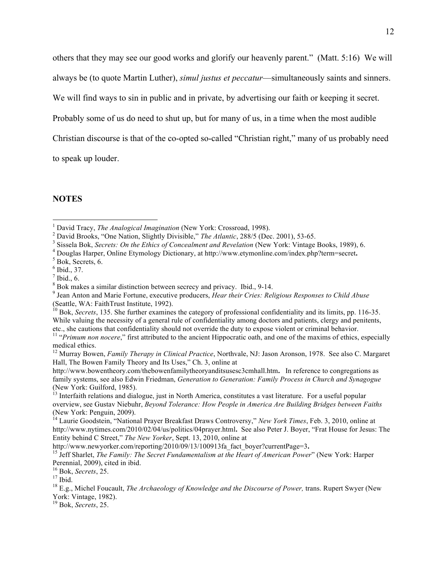others that they may see our good works and glorify our heavenly parent." (Matt. 5:16) We will

always be (to quote Martin Luther), *simul justus et peccatur*—simultaneously saints and sinners.

We will find ways to sin in public and in private, by advertising our faith or keeping it secret.

Probably some of us do need to shut up, but for many of us, in a time when the most audible

Christian discourse is that of the co-opted so-called "Christian right," many of us probably need

to speak up louder.

## **NOTES**

- <sup>4</sup> Douglas Harper, Online Etymology Dictionary, at http://www.etymonline.com/index.php?term=secret.
- $5$  Bok, Secrets, 6.

 $<sup>7</sup>$  Ibid., 6.</sup>

19 Bok, *Secrets*, 25.

 $\frac{1}{1}$ <sup>1</sup> David Tracy, *The Analogical Imagination* (New York: Crossroad, 1998).

<sup>&</sup>lt;sup>2</sup> David Brooks, "One Nation, Slightly Divisible," *The Atlantic*, 288/5 (Dec. 2001), 53-65.<br><sup>3</sup> Sissela Bok, *Secrets: On the Ethics of Concealment and Revelation* (New York: Vintage Books, 1989), 6.

 $<sup>6</sup>$  Ibid., 37.</sup>

 $\frac{8}{9}$  Bok makes a similar distinction between secrecy and privacy. Ibid., 9-14.

<sup>&</sup>lt;sup>9</sup> Jean Anton and Marie Fortune, executive producers, *Hear their Cries: Religious Responses to Child Abuse* (Seattle, WA: FaithTrust Institute, 1992).

<sup>&</sup>lt;sup>10</sup> Bok, *Secrets*, 135. She further examines the category of professional confidentiality and its limits, pp. 116-35. While valuing the necessity of a general rule of confidentiality among doctors and patients, clergy and penitents,

etc., she cautions that confidentiality should not override the duty to expose violent or criminal behavior.<br><sup>11</sup> "Primum non nocere," first attributed to the ancient Hippocratic oath, and one of the maxims of ethics, espe medical ethics.

<sup>12</sup> Murray Bowen, *Family Therapy in Clinical Practice*, Northvale, NJ: Jason Aronson, 1978. See also C. Margaret Hall, The Bowen Family Theory and Its Uses," Ch. 3, online at

http://www.bowentheory.com/thebowenfamilytheoryanditsusesc3cmhall.htm**.** In reference to congregations as family systems, see also Edwin Friedman, *Generation to Generation: Family Process in Church and Synagogue* (New York: Guilford, 1985).

 $<sup>13</sup>$  Interfaith relations and dialogue, just in North America, constitutes a vast literature. For a useful popular</sup> overview, see Gustav Niebuhr, *Beyond Tolerance: How People in America Are Building Bridges between Faiths* (New York: Penguin, 2009).

<sup>14</sup> Laurie Goodstein, "National Prayer Breakfast Draws Controversy," *New York Times*, Feb. 3, 2010, online at http://www.nytimes.com/2010/02/04/us/politics/04prayer.html**.** See also Peter J. Boyer, "Frat House for Jesus: The Entity behind C Street," *The New Yorker*, Sept. 13, 2010, online at

http://www.newyorker.com/reporting/2010/09/13/100913fa\_fact\_boyer?currentPage=3**.** 15 Jeff Sharlet, *The Family: The Secret Fundamentalism at the Heart of American Power*" (New York: Harper Perennial, 2009), cited in ibid. 16 Bok, *Secrets*, 25. 17 Ibid.

<sup>18</sup> E.g., Michel Foucault, *The Archaeology of Knowledge and the Discourse of Power,* trans. Rupert Swyer (New York: Vintage, 1982).